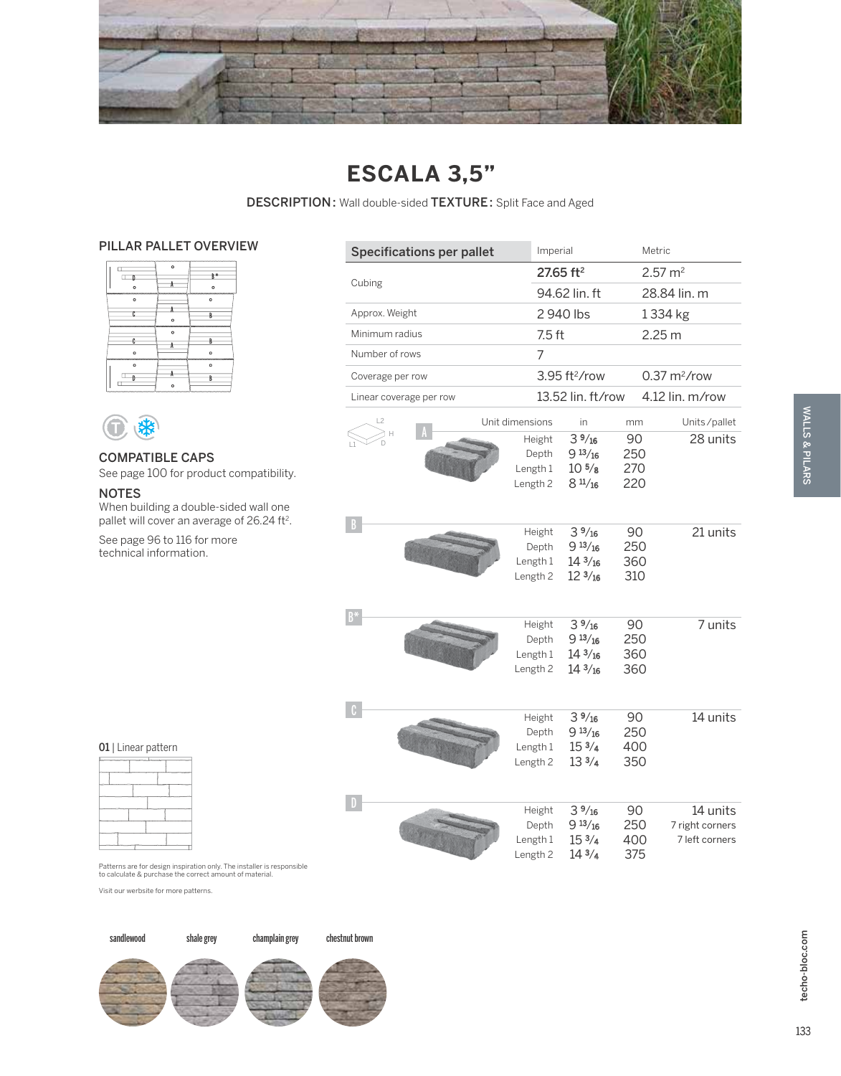

## **ESCALA 3,5"**

DESCRIPTION: Wall double-sided TEXTURE: Split Face and Aged

#### PILLAR PALLET OVERVIEW

| $\Box$<br>۰             | $\circ$ | R<br>۰       |
|-------------------------|---------|--------------|
| $\circ$                 |         | $\bullet$    |
| ,,,,,,,,,,,,,,,,,,,,,,, | ٥       | ī            |
|                         | $\circ$ | f            |
|                         |         |              |
| $\bullet$               | A       | $\circ$      |
| $\bullet$<br>f          | π       | $\circ$<br>f |



COMPATIBLE CAPS See page 100 for product compatibility.

#### NOTES

When building a double-sided wall one pallet will cover an average of 26.24 ft<sup>2</sup>.

See page 96 to 116 for more technical information.

| <b>Specifications per pallet</b> | Imperial              |                                                        | Metric     |                    |  |
|----------------------------------|-----------------------|--------------------------------------------------------|------------|--------------------|--|
|                                  |                       | $27.65$ ft <sup>2</sup>                                |            | $2.57 \text{ m}^2$ |  |
| Cubing                           |                       | 94.62 lin. ft                                          |            | 28.84 lin. m       |  |
| Approx. Weight                   |                       | 2940 lbs                                               |            | 1334 kg            |  |
| Minimum radius                   |                       | $7.5$ ft                                               |            | 2.25 <sub>m</sub>  |  |
| Number of rows                   | 7                     |                                                        |            |                    |  |
| Coverage per row                 |                       | $3.95$ ft <sup>2</sup> /row<br>$0.37 \text{ m}^2$ /row |            |                    |  |
| Linear coverage per row          |                       | 13.52 lin. ft/row<br>4.12 lin. m/row                   |            |                    |  |
| L2                               | Unit dimensions<br>in |                                                        | mm         | Units/pallet       |  |
|                                  | Height                | 39/16                                                  | 90         | 28 units           |  |
|                                  | Depth                 | 913/16                                                 | 250        |                    |  |
|                                  | Length 1<br>Length 2  | $10^{5}/8$<br>$8 \frac{11}{16}$                        | 270<br>220 |                    |  |
|                                  |                       |                                                        |            |                    |  |
|                                  |                       |                                                        |            |                    |  |
|                                  | Height                | 39/16                                                  | 90         | 21 units           |  |
|                                  | Depth                 | $9^{13/16}$                                            | 250        |                    |  |
|                                  | Length 1              | $14\frac{3}{16}$                                       | 360        |                    |  |
|                                  | Length 2              | $12\frac{3}{16}$                                       | 310        |                    |  |
|                                  |                       |                                                        |            |                    |  |
| $B^*$                            | Height                | $3\frac{9}{16}$                                        | 90         | 7 units            |  |
|                                  | Depth                 | $9^{13}/_{16}$                                         | 250        |                    |  |
|                                  | Length 1              | $14\frac{3}{16}$                                       | 360        |                    |  |
|                                  | Length 2              | $14\frac{3}{16}$                                       | 360        |                    |  |
|                                  |                       |                                                        |            |                    |  |
| C.                               | Height                | 39/16                                                  | 90         | 14 units           |  |
|                                  | Depth                 | 913/16                                                 | 250        |                    |  |
|                                  | Length 1              | $15\frac{3}{4}$                                        | 400        |                    |  |
|                                  | Length 2              | $13\frac{3}{4}$                                        | 350        |                    |  |
|                                  |                       |                                                        |            |                    |  |
|                                  | Height                | 39/16                                                  | 90         | 14 units           |  |
|                                  | Depth                 | $9^{13/16}$                                            | 250        | 7 right corners    |  |
|                                  | Length 1              | 15 <sup>3</sup> /4                                     | 400        | 7 left corners     |  |
|                                  | Length <sub>2</sub>   | 143/4                                                  | 375        |                    |  |

#### 01 | Linear pattern

Patterns are for design inspiration only. The installer is responsible to calculate & purchase the correct amount of material.

Visit our werbsite for more patterns.

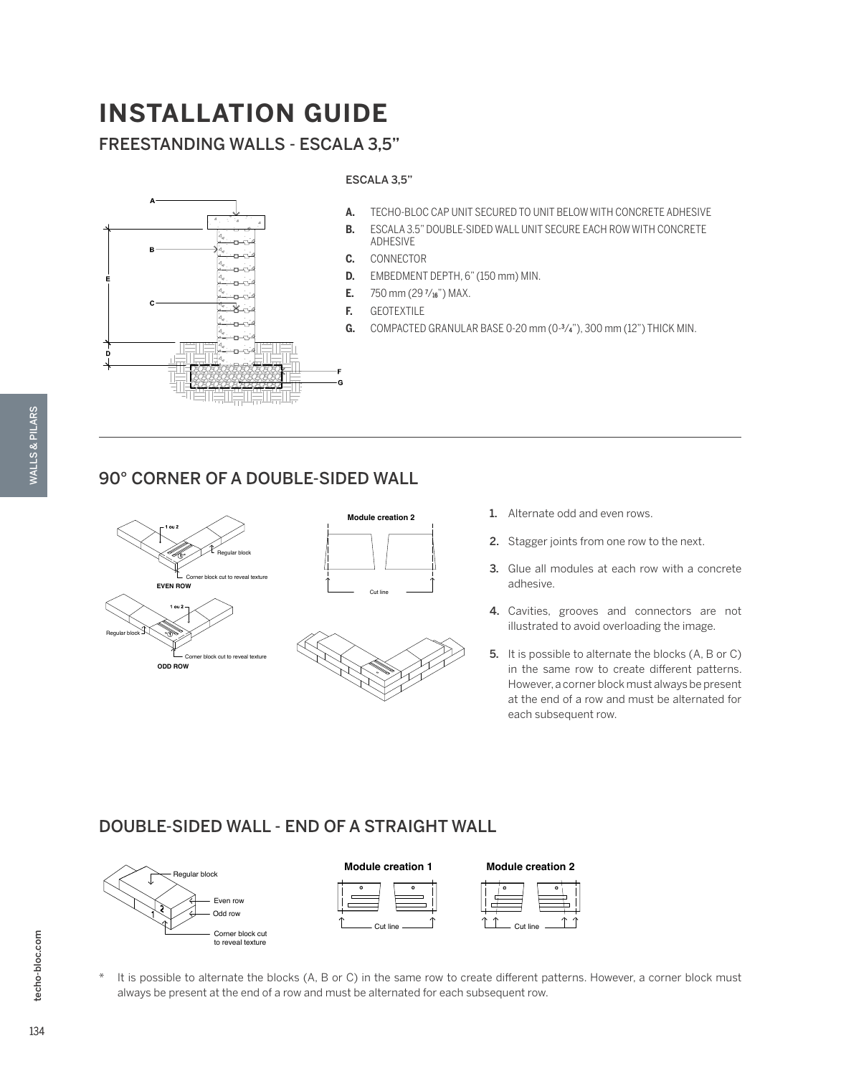# **INSTALLATION GUIDE**

## FREESTANDING WALLS - ESCALA 3,5"



#### ESCALA 3,5"

- **A.** TECHO-BLOC CAP UNIT SECURED TO UNIT BELOW WITH CONCRETE ADHESIVE
- **B.** ESCALA 3.5" DOUBLE-SIDED WALL UNIT SECURE EACH ROW WITH CONCRETE **ADHESIVE**
- **C.** CONNECTOR
- **D.** EMBEDMENT DEPTH, 6" (150 mm) MIN.
- **E.** 750 mm (29 7 ⁄16") MAX.
- **F.** GEOTEXTILE
- **G.** COMPACTED GRANULAR BASE 0-20 mm (0-3 ⁄4"), 300 mm (12") THICK MIN.

#### 90° CORNER OF A DOUBLE-SIDED WALL



- 1. Alternate odd and even rows.
- 2. Stagger joints from one row to the next.
- 3. Glue all modules at each row with a concrete adhesive.
- 4. Cavities, grooves and connectors are not illustrated to avoid overloading the image.
- 5. It is possible to alternate the blocks (A, B or C) in the same row to create different patterns. However, a corner block must always be present at the end of a row and must be alternated for each subsequent row.

#### DOUBLE-SIDED WALL - END OF A STRAIGHT WALL **EVEN ROW** Corner unit **EVEN ROW**  $\sqrt{2}$

 $\angle$ 

Corner unit

**ODD ROW**



It is possible to alternate the blocks (A, B or C) in the same row to create different patterns. However, a corner block must always be present at the end of a row and must be alternated for each subsequent row.